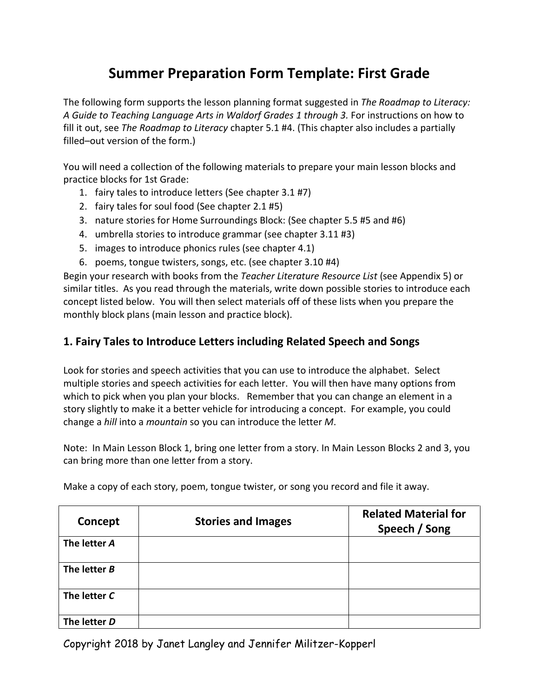# **Summer Preparation Form Template: First Grade**

The following form supports the lesson planning format suggested in *The Roadmap to Literacy: A Guide to Teaching Language Arts in Waldorf Grades 1 through 3.* For instructions on how to fill it out, see *The Roadmap to Literacy* chapter 5.1 #4. (This chapter also includes a partially filled–out version of the form.)

You will need a collection of the following materials to prepare your main lesson blocks and practice blocks for 1st Grade:

- 1. fairy tales to introduce letters (See chapter 3.1 #7)
- 2. fairy tales for soul food (See chapter 2.1 #5)
- 3. nature stories for Home Surroundings Block: (See chapter 5.5 #5 and #6)
- 4. umbrella stories to introduce grammar (see chapter 3.11 #3)
- 5. images to introduce phonics rules (see chapter 4.1)
- 6. poems, tongue twisters, songs, etc. (see chapter 3.10 #4)

Begin your research with books from the *Teacher Literature Resource List* (see Appendix 5) or similar titles. As you read through the materials, write down possible stories to introduce each concept listed below. You will then select materials off of these lists when you prepare the monthly block plans (main lesson and practice block).

## **1. Fairy Tales to Introduce Letters including Related Speech and Songs**

Look for stories and speech activities that you can use to introduce the alphabet. Select multiple stories and speech activities for each letter. You will then have many options from which to pick when you plan your blocks. Remember that you can change an element in a story slightly to make it a better vehicle for introducing a concept. For example, you could change a *hill* into a *mountain* so you can introduce the letter *M*.

Note: In Main Lesson Block 1, bring one letter from a story. In Main Lesson Blocks 2 and 3, you can bring more than one letter from a story.

| Concept      | <b>Stories and Images</b> | <b>Related Material for</b><br>Speech / Song |
|--------------|---------------------------|----------------------------------------------|
| The letter A |                           |                                              |
| The letter B |                           |                                              |
| The letter C |                           |                                              |
| The letter D |                           |                                              |

Make a copy of each story, poem, tongue twister, or song you record and file it away.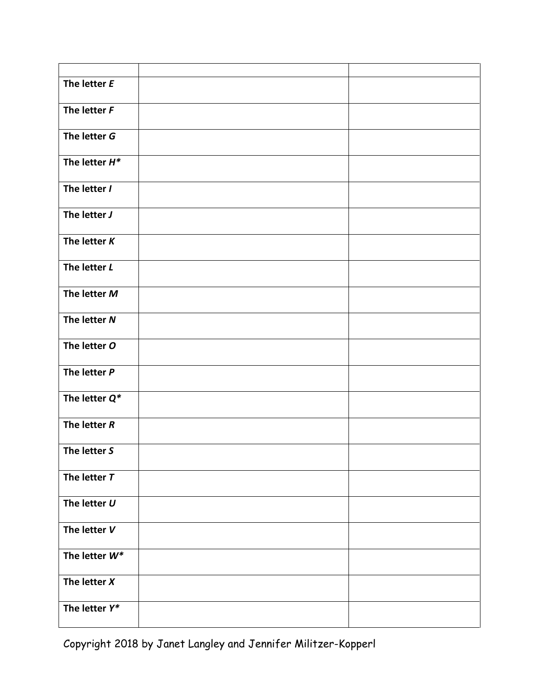| The letter E     |  |
|------------------|--|
| The letter F     |  |
| The letter G     |  |
| The letter $H^*$ |  |
| The letter /     |  |
| The letter J     |  |
| The letter $K$   |  |
| The letter L     |  |
| The letter M     |  |
| The letter N     |  |
| The letter O     |  |
| The letter P     |  |
| The letter $Q^*$ |  |
| The letter $R$   |  |
| The letter S     |  |
| The letter T     |  |
| The letter $U$   |  |
| The letter V     |  |
| The letter $W^*$ |  |
| The letter $X$   |  |
| The letter Y*    |  |
|                  |  |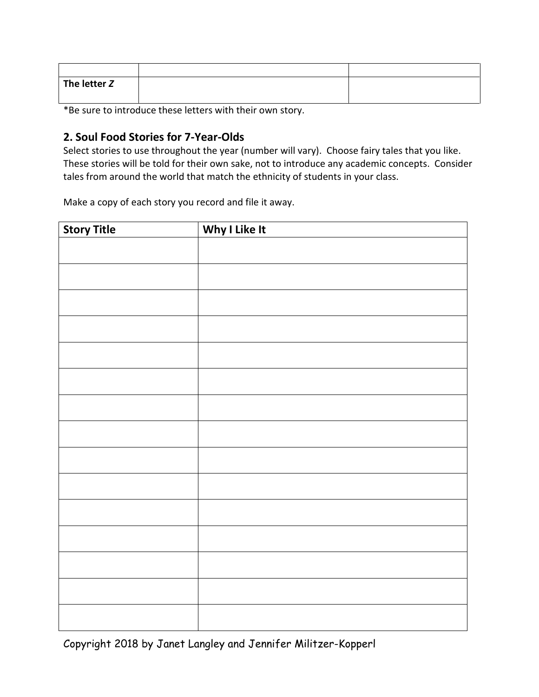| The letter $Z$ |  |
|----------------|--|

\*Be sure to introduce these letters with their own story.

### **2. Soul Food Stories for 7-Year-Olds**

Select stories to use throughout the year (number will vary). Choose fairy tales that you like. These stories will be told for their own sake, not to introduce any academic concepts. Consider tales from around the world that match the ethnicity of students in your class.

Make a copy of each story you record and file it away.

| <b>Story Title</b> | Why I Like It |
|--------------------|---------------|
|                    |               |
|                    |               |
|                    |               |
|                    |               |
|                    |               |
|                    |               |
|                    |               |
|                    |               |
|                    |               |
|                    |               |
|                    |               |
|                    |               |
|                    |               |
|                    |               |
|                    |               |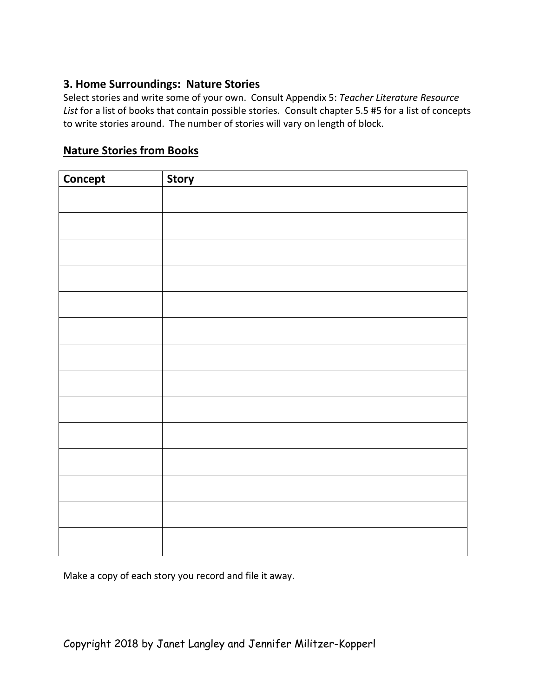# **3. Home Surroundings: Nature Stories**

Select stories and write some of your own. Consult Appendix 5: *Teacher Literature Resource List* for a list of books that contain possible stories. Consult chapter 5.5 #5 for a list of concepts to write stories around. The number of stories will vary on length of block.

| <b>Nature Stories from Books</b> |  |
|----------------------------------|--|
|                                  |  |

| Concept | Story |
|---------|-------|
|         |       |
|         |       |
|         |       |
|         |       |
|         |       |
|         |       |
|         |       |
|         |       |
|         |       |
|         |       |
|         |       |
|         |       |
|         |       |
|         |       |
|         |       |

Make a copy of each story you record and file it away.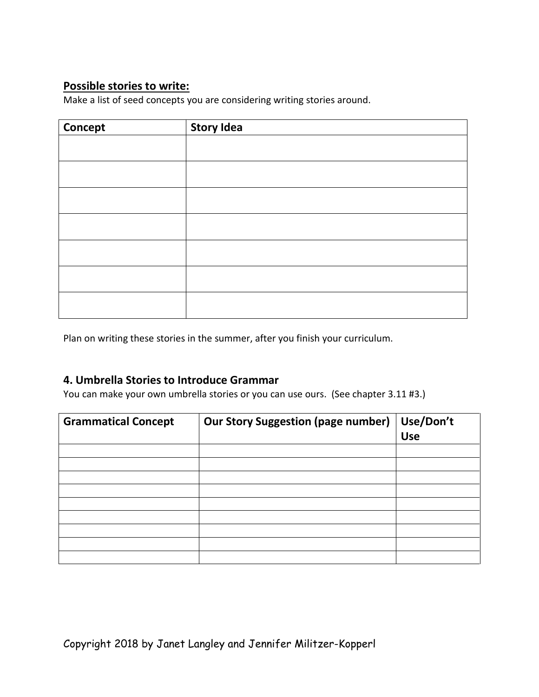# **Possible stories to write:**

Make a list of seed concepts you are considering writing stories around.

| <b>Concept</b> | <b>Story Idea</b> |
|----------------|-------------------|
|                |                   |
|                |                   |
|                |                   |
|                |                   |
|                |                   |
|                |                   |
|                |                   |

Plan on writing these stories in the summer, after you finish your curriculum.

### **4. Umbrella Stories to Introduce Grammar**

You can make your own umbrella stories or you can use ours. (See chapter 3.11 #3.)

| <b>Grammatical Concept</b> | <b>Our Story Suggestion (page number)</b> | Use/Don't  |
|----------------------------|-------------------------------------------|------------|
|                            |                                           | <b>Use</b> |
|                            |                                           |            |
|                            |                                           |            |
|                            |                                           |            |
|                            |                                           |            |
|                            |                                           |            |
|                            |                                           |            |
|                            |                                           |            |
|                            |                                           |            |
|                            |                                           |            |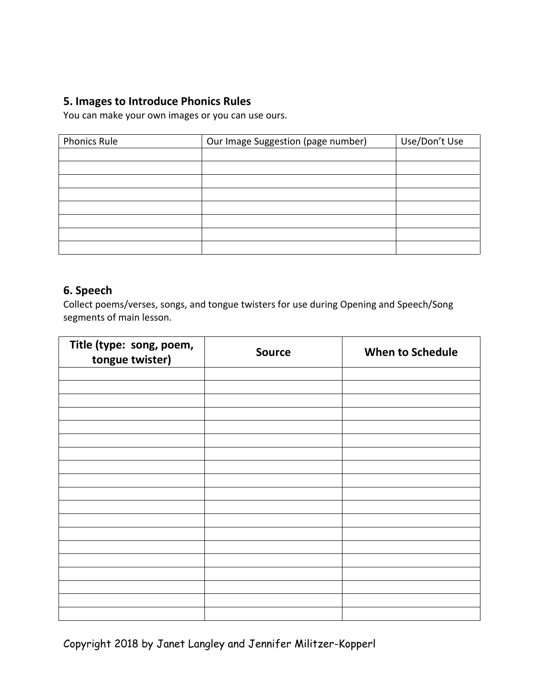## **5. Images to Introduce Phonics Rules**

You can make your own images or you can use ours.

| <b>Phonics Rule</b> | Our Image Suggestion (page number) | Use/Don't Use |
|---------------------|------------------------------------|---------------|
|                     |                                    |               |
|                     |                                    |               |
|                     |                                    |               |
|                     |                                    |               |
|                     |                                    |               |
|                     |                                    |               |
|                     |                                    |               |
|                     |                                    |               |

#### **6. Speech**

Collect poems/verses, songs, and tongue twisters for use during Opening and Speech/Song segments of main lesson.

| Title (type: song, poem,<br>tongue twister) | <b>Source</b> | <b>When to Schedule</b> |
|---------------------------------------------|---------------|-------------------------|
|                                             |               |                         |
|                                             |               |                         |
|                                             |               |                         |
|                                             |               |                         |
|                                             |               |                         |
|                                             |               |                         |
|                                             |               |                         |
|                                             |               |                         |
|                                             |               |                         |
|                                             |               |                         |
|                                             |               |                         |
|                                             |               |                         |
|                                             |               |                         |
|                                             |               |                         |
|                                             |               |                         |
|                                             |               |                         |
|                                             |               |                         |
|                                             |               |                         |
|                                             |               |                         |